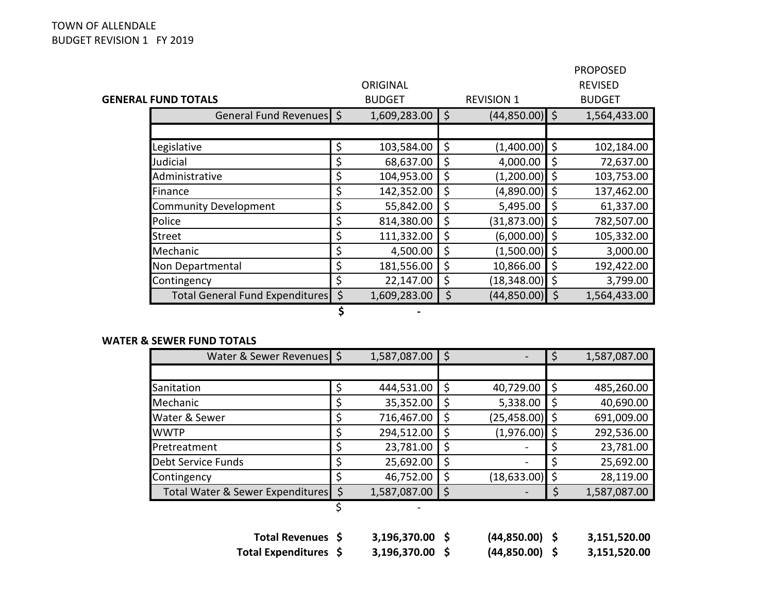|                                        |                    |             |                   | <b>PROPOSED</b>  |
|----------------------------------------|--------------------|-------------|-------------------|------------------|
|                                        | ORIGINAL           |             |                   | <b>REVISED</b>   |
| <b>GENERAL FUND TOTALS</b>             | <b>BUDGET</b>      |             | <b>REVISION 1</b> | <b>BUDGET</b>    |
| General Fund Revenues \$               | 1,609,283.00       | $\zeta$     | $(44,850.00)$ \$  | 1,564,433.00     |
|                                        |                    |             |                   |                  |
| Legislative                            | \$<br>103,584.00   | \$          | $(1,400.00)$ \$   | 102,184.00       |
| Judicial                               | \$<br>68,637.00    | $\zeta$     | 4,000.00          | \$<br>72,637.00  |
| Administrative                         | \$<br>104,953.00   | $\zeta$     | $(1,200.00)$ \$   | 103,753.00       |
| Finance                                | \$<br>142,352.00   | $\varsigma$ | $(4,890.00)$ \$   | 137,462.00       |
| <b>Community Development</b>           | \$<br>55,842.00    | $\zeta$     | 5,495.00          | \$<br>61,337.00  |
| Police                                 | \$<br>814,380.00   | \$          | $(31,873.00)$ \$  | 782,507.00       |
| <b>Street</b>                          | \$<br>111,332.00   | \$          | $(6,000.00)$ \$   | 105,332.00       |
| Mechanic                               | \$<br>4,500.00     | \$          | $(1,500.00)$ \$   | 3,000.00         |
| Non Departmental                       | \$<br>181,556.00   | $\varsigma$ | 10,866.00         | \$<br>192,422.00 |
| Contingency                            | \$<br>22,147.00    | \$          | $(18, 348.00)$ \$ | 3,799.00         |
| <b>Total General Fund Expenditures</b> | \$<br>1,609,283.00 | \$          | $(44,850.00)$ \$  | 1,564,433.00     |
|                                        | \$                 |             |                   |                  |

#### **WATER & SEWER FUND TOTALS**

| Water & Sewer Revenues \$        | 1,587,087.00       | \$          |                |    | 1,587,087.00 |
|----------------------------------|--------------------|-------------|----------------|----|--------------|
|                                  |                    |             |                |    |              |
| Sanitation                       | 444,531.00         | -\$         | 40,729.00      |    | 485,260.00   |
| Mechanic                         | 35,352.00          | \$          | 5,338.00       | -S | 40,690.00    |
| Water & Sewer                    | 716,467.00         | \$          | (25,458.00) \$ |    | 691,009.00   |
| <b>WWTP</b>                      | 294,512.00         | -S          | (1,976.00)     |    | 292,536.00   |
| Pretreatment                     | 23,781.00          | \$          |                |    | 23,781.00    |
| <b>Debt Service Funds</b>        | 25,692.00          | \$          |                |    | 25,692.00    |
| Contingency                      | 46,752.00          | \$          | (18, 633.00)   |    | 28,119.00    |
| Total Water & Sewer Expenditures | \$<br>1,587,087.00 | $\varsigma$ |                | \$ | 1,587,087.00 |
|                                  |                    |             |                |    |              |

| Total Revenues \$     | $3,196,370.00$ \$ | $(44,850.00)$ \$ | 3,151,520.00 |
|-----------------------|-------------------|------------------|--------------|
| Total Expenditures \$ | 3,196,370.00      | $(44,850.00)$ \$ | 3,151,520.00 |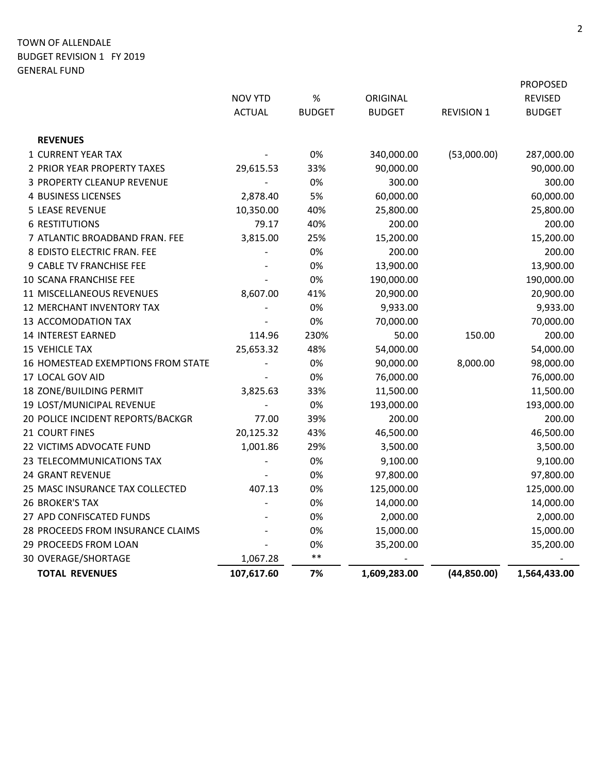|                                    |               |               |               |                   | <b>PROPOSED</b> |
|------------------------------------|---------------|---------------|---------------|-------------------|-----------------|
|                                    | NOV YTD       | $\%$          | ORIGINAL      |                   | <b>REVISED</b>  |
|                                    | <b>ACTUAL</b> | <b>BUDGET</b> | <b>BUDGET</b> | <b>REVISION 1</b> | <b>BUDGET</b>   |
| <b>REVENUES</b>                    |               |               |               |                   |                 |
| 1 CURRENT YEAR TAX                 |               | 0%            | 340,000.00    | (53,000.00)       | 287,000.00      |
| 2 PRIOR YEAR PROPERTY TAXES        | 29,615.53     | 33%           | 90,000.00     |                   | 90,000.00       |
| 3 PROPERTY CLEANUP REVENUE         |               | 0%            | 300.00        |                   | 300.00          |
| 4 BUSINESS LICENSES                | 2,878.40      | 5%            | 60,000.00     |                   | 60,000.00       |
| <b>5 LEASE REVENUE</b>             | 10,350.00     | 40%           | 25,800.00     |                   | 25,800.00       |
| <b>6 RESTITUTIONS</b>              | 79.17         | 40%           | 200.00        |                   | 200.00          |
| 7 ATLANTIC BROADBAND FRAN. FEE     | 3,815.00      | 25%           | 15,200.00     |                   | 15,200.00       |
| 8 EDISTO ELECTRIC FRAN. FEE        |               | 0%            | 200.00        |                   | 200.00          |
| 9 CABLE TV FRANCHISE FEE           |               | 0%            | 13,900.00     |                   | 13,900.00       |
| 10 SCANA FRANCHISE FEE             |               | 0%            | 190,000.00    |                   | 190,000.00      |
| 11 MISCELLANEOUS REVENUES          | 8,607.00      | 41%           | 20,900.00     |                   | 20,900.00       |
| 12 MERCHANT INVENTORY TAX          |               | 0%            | 9,933.00      |                   | 9,933.00        |
| 13 ACCOMODATION TAX                |               | 0%            | 70,000.00     |                   | 70,000.00       |
| <b>14 INTEREST EARNED</b>          | 114.96        | 230%          | 50.00         | 150.00            | 200.00          |
| <b>15 VEHICLE TAX</b>              | 25,653.32     | 48%           | 54,000.00     |                   | 54,000.00       |
| 16 HOMESTEAD EXEMPTIONS FROM STATE |               | 0%            | 90,000.00     | 8,000.00          | 98,000.00       |
| 17 LOCAL GOV AID                   |               | 0%            | 76,000.00     |                   | 76,000.00       |
| 18 ZONE/BUILDING PERMIT            | 3,825.63      | 33%           | 11,500.00     |                   | 11,500.00       |
| 19 LOST/MUNICIPAL REVENUE          |               | 0%            | 193,000.00    |                   | 193,000.00      |
| 20 POLICE INCIDENT REPORTS/BACKGR  | 77.00         | 39%           | 200.00        |                   | 200.00          |
| 21 COURT FINES                     | 20,125.32     | 43%           | 46,500.00     |                   | 46,500.00       |
| 22 VICTIMS ADVOCATE FUND           | 1,001.86      | 29%           | 3,500.00      |                   | 3,500.00        |
| 23 TELECOMMUNICATIONS TAX          |               | 0%            | 9,100.00      |                   | 9,100.00        |
| <b>24 GRANT REVENUE</b>            |               | 0%            | 97,800.00     |                   | 97,800.00       |
| 25 MASC INSURANCE TAX COLLECTED    | 407.13        | 0%            | 125,000.00    |                   | 125,000.00      |
| <b>26 BROKER'S TAX</b>             |               | 0%            | 14,000.00     |                   | 14,000.00       |
| 27 APD CONFISCATED FUNDS           |               | 0%            | 2,000.00      |                   | 2,000.00        |
| 28 PROCEEDS FROM INSURANCE CLAIMS  |               | 0%            | 15,000.00     |                   | 15,000.00       |
| 29 PROCEEDS FROM LOAN              |               | 0%            | 35,200.00     |                   | 35,200.00       |
| 30 OVERAGE/SHORTAGE                | 1,067.28      | $***$         |               |                   |                 |
| <b>TOTAL REVENUES</b>              | 107,617.60    | 7%            | 1,609,283.00  | (44, 850.00)      | 1,564,433.00    |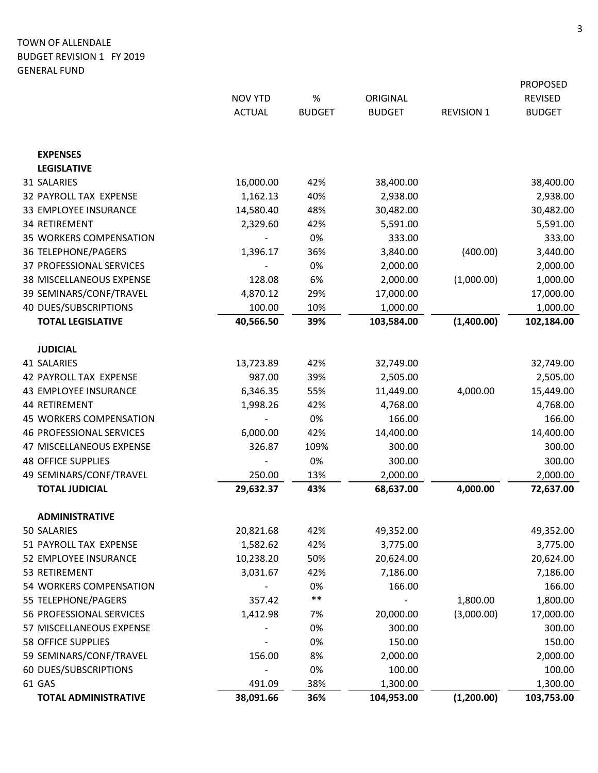|                                 |                |               |               |                   | <b>PROPOSED</b> |
|---------------------------------|----------------|---------------|---------------|-------------------|-----------------|
|                                 | <b>NOV YTD</b> | $\%$          | ORIGINAL      |                   | <b>REVISED</b>  |
|                                 | <b>ACTUAL</b>  | <b>BUDGET</b> | <b>BUDGET</b> | <b>REVISION 1</b> | <b>BUDGET</b>   |
| <b>EXPENSES</b>                 |                |               |               |                   |                 |
| <b>LEGISLATIVE</b>              |                |               |               |                   |                 |
| 31 SALARIES                     | 16,000.00      | 42%           | 38,400.00     |                   | 38,400.00       |
| 32 PAYROLL TAX EXPENSE          | 1,162.13       | 40%           | 2,938.00      |                   | 2,938.00        |
| 33 EMPLOYEE INSURANCE           | 14,580.40      | 48%           | 30,482.00     |                   | 30,482.00       |
| 34 RETIREMENT                   | 2,329.60       | 42%           | 5,591.00      |                   | 5,591.00        |
| 35 WORKERS COMPENSATION         |                | 0%            | 333.00        |                   | 333.00          |
| 36 TELEPHONE/PAGERS             | 1,396.17       | 36%           | 3,840.00      | (400.00)          | 3,440.00        |
| 37 PROFESSIONAL SERVICES        |                | 0%            | 2,000.00      |                   | 2,000.00        |
| 38 MISCELLANEOUS EXPENSE        | 128.08         | 6%            | 2,000.00      | (1,000.00)        | 1,000.00        |
| 39 SEMINARS/CONF/TRAVEL         | 4,870.12       | 29%           | 17,000.00     |                   | 17,000.00       |
| 40 DUES/SUBSCRIPTIONS           | 100.00         | 10%           | 1,000.00      |                   | 1,000.00        |
| <b>TOTAL LEGISLATIVE</b>        | 40,566.50      | 39%           | 103,584.00    | (1,400.00)        | 102,184.00      |
|                                 |                |               |               |                   |                 |
| <b>JUDICIAL</b>                 |                |               |               |                   |                 |
| 41 SALARIES                     | 13,723.89      | 42%           | 32,749.00     |                   | 32,749.00       |
| 42 PAYROLL TAX EXPENSE          | 987.00         | 39%           | 2,505.00      |                   | 2,505.00        |
| 43 EMPLOYEE INSURANCE           | 6,346.35       | 55%           | 11,449.00     | 4,000.00          | 15,449.00       |
| 44 RETIREMENT                   | 1,998.26       | 42%           | 4,768.00      |                   | 4,768.00        |
| 45 WORKERS COMPENSATION         |                | 0%            | 166.00        |                   | 166.00          |
| <b>46 PROFESSIONAL SERVICES</b> | 6,000.00       | 42%           | 14,400.00     |                   | 14,400.00       |
| 47 MISCELLANEOUS EXPENSE        | 326.87         | 109%          | 300.00        |                   | 300.00          |
| <b>48 OFFICE SUPPLIES</b>       |                | 0%            | 300.00        |                   | 300.00          |
| 49 SEMINARS/CONF/TRAVEL         | 250.00         | 13%           | 2,000.00      |                   | 2,000.00        |
| <b>TOTAL JUDICIAL</b>           | 29,632.37      | 43%           | 68,637.00     | 4,000.00          | 72,637.00       |
| <b>ADMINISTRATIVE</b>           |                |               |               |                   |                 |
| 50 SALARIES                     | 20,821.68      | 42%           | 49,352.00     |                   | 49,352.00       |
| 51 PAYROLL TAX EXPENSE          | 1,582.62       | 42%           | 3,775.00      |                   | 3,775.00        |
| 52 EMPLOYEE INSURANCE           | 10,238.20      | 50%           | 20,624.00     |                   | 20,624.00       |
| 53 RETIREMENT                   | 3,031.67       | 42%           | 7,186.00      |                   | 7,186.00        |
| 54 WORKERS COMPENSATION         |                | 0%            | 166.00        |                   | 166.00          |
| 55 TELEPHONE/PAGERS             | 357.42         | $***$         |               | 1,800.00          | 1,800.00        |
| 56 PROFESSIONAL SERVICES        | 1,412.98       | 7%            | 20,000.00     | (3,000.00)        | 17,000.00       |
| 57 MISCELLANEOUS EXPENSE        |                | 0%            | 300.00        |                   | 300.00          |
| <b>58 OFFICE SUPPLIES</b>       |                | 0%            | 150.00        |                   | 150.00          |
| 59 SEMINARS/CONF/TRAVEL         | 156.00         | 8%            | 2,000.00      |                   | 2,000.00        |
| 60 DUES/SUBSCRIPTIONS           |                | 0%            | 100.00        |                   | 100.00          |
| 61 GAS                          | 491.09         | 38%           | 1,300.00      |                   | 1,300.00        |
| <b>TOTAL ADMINISTRATIVE</b>     | 38,091.66      | 36%           | 104,953.00    | (1, 200.00)       | 103,753.00      |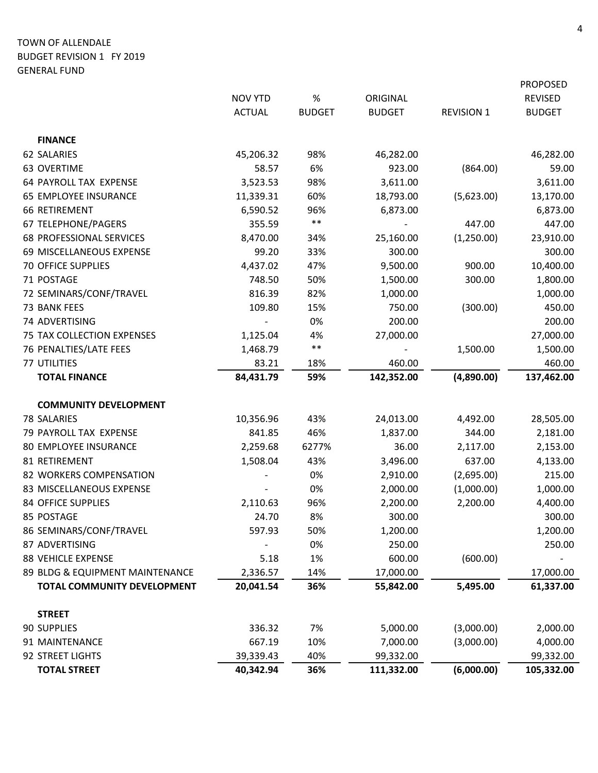|                                 |                |               |               |                   | <b>PROPOSED</b> |
|---------------------------------|----------------|---------------|---------------|-------------------|-----------------|
|                                 | <b>NOV YTD</b> | $\%$          | ORIGINAL      |                   | <b>REVISED</b>  |
|                                 | <b>ACTUAL</b>  | <b>BUDGET</b> | <b>BUDGET</b> | <b>REVISION 1</b> | <b>BUDGET</b>   |
| <b>FINANCE</b>                  |                |               |               |                   |                 |
| 62 SALARIES                     | 45,206.32      | 98%           | 46,282.00     |                   | 46,282.00       |
| 63 OVERTIME                     | 58.57          | 6%            | 923.00        | (864.00)          | 59.00           |
| 64 PAYROLL TAX EXPENSE          | 3,523.53       | 98%           | 3,611.00      |                   | 3,611.00        |
| 65 EMPLOYEE INSURANCE           | 11,339.31      | 60%           | 18,793.00     | (5,623.00)        | 13,170.00       |
| 66 RETIREMENT                   | 6,590.52       | 96%           | 6,873.00      |                   | 6,873.00        |
| 67 TELEPHONE/PAGERS             | 355.59         | $***$         |               | 447.00            | 447.00          |
| <b>68 PROFESSIONAL SERVICES</b> | 8,470.00       | 34%           | 25,160.00     | (1,250.00)        | 23,910.00       |
| 69 MISCELLANEOUS EXPENSE        | 99.20          | 33%           | 300.00        |                   | 300.00          |
| <b>70 OFFICE SUPPLIES</b>       | 4,437.02       | 47%           | 9,500.00      | 900.00            | 10,400.00       |
| 71 POSTAGE                      | 748.50         | 50%           | 1,500.00      | 300.00            | 1,800.00        |
| 72 SEMINARS/CONF/TRAVEL         | 816.39         | 82%           | 1,000.00      |                   | 1,000.00        |
| 73 BANK FEES                    | 109.80         | 15%           | 750.00        | (300.00)          | 450.00          |
| 74 ADVERTISING                  |                | 0%            | 200.00        |                   | 200.00          |
| 75 TAX COLLECTION EXPENSES      | 1,125.04       | 4%            | 27,000.00     |                   | 27,000.00       |
| 76 PENALTIES/LATE FEES          | 1,468.79       | $***$         |               | 1,500.00          | 1,500.00        |
| <b>77 UTILITIES</b>             | 83.21          | 18%           | 460.00        |                   | 460.00          |
| <b>TOTAL FINANCE</b>            | 84,431.79      | 59%           | 142,352.00    | (4,890.00)        | 137,462.00      |
| <b>COMMUNITY DEVELOPMENT</b>    |                |               |               |                   |                 |
| 78 SALARIES                     | 10,356.96      | 43%           | 24,013.00     | 4,492.00          | 28,505.00       |
| 79 PAYROLL TAX EXPENSE          | 841.85         | 46%           | 1,837.00      | 344.00            | 2,181.00        |
| <b>80 EMPLOYEE INSURANCE</b>    | 2,259.68       | 6277%         | 36.00         | 2,117.00          | 2,153.00        |
| 81 RETIREMENT                   | 1,508.04       | 43%           | 3,496.00      | 637.00            | 4,133.00        |
| 82 WORKERS COMPENSATION         |                | 0%            | 2,910.00      | (2,695.00)        | 215.00          |
| 83 MISCELLANEOUS EXPENSE        |                | 0%            | 2,000.00      | (1,000.00)        | 1,000.00        |
| <b>84 OFFICE SUPPLIES</b>       | 2,110.63       | 96%           | 2,200.00      | 2,200.00          | 4,400.00        |
| 85 POSTAGE                      | 24.70          | 8%            | 300.00        |                   | 300.00          |
| 86 SEMINARS/CONF/TRAVEL         | 597.93         | 50%           | 1,200.00      |                   | 1,200.00        |
| 87 ADVERTISING                  |                | 0%            | 250.00        |                   | 250.00          |
| <b>88 VEHICLE EXPENSE</b>       | 5.18           | 1%            | 600.00        | (600.00)          |                 |
| 89 BLDG & EQUIPMENT MAINTENANCE | 2,336.57       | 14%           | 17,000.00     |                   | 17,000.00       |
| TOTAL COMMUNITY DEVELOPMENT     | 20,041.54      | 36%           | 55,842.00     | 5,495.00          | 61,337.00       |
| <b>STREET</b>                   |                |               |               |                   |                 |
| 90 SUPPLIES                     | 336.32         | 7%            | 5,000.00      | (3,000.00)        | 2,000.00        |
| 91 MAINTENANCE                  | 667.19         | 10%           | 7,000.00      | (3,000.00)        | 4,000.00        |
| 92 STREET LIGHTS                | 39,339.43      | 40%           | 99,332.00     |                   | 99,332.00       |
| <b>TOTAL STREET</b>             | 40,342.94      | 36%           | 111,332.00    | (6,000.00)        | 105,332.00      |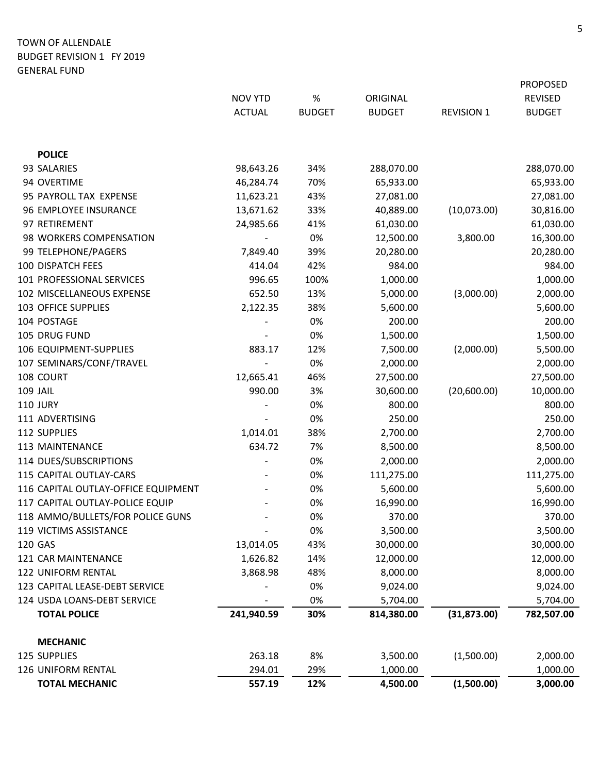|                                     |                |               |               |                   | <b>PROPOSED</b> |
|-------------------------------------|----------------|---------------|---------------|-------------------|-----------------|
|                                     | <b>NOV YTD</b> | $\%$          | ORIGINAL      |                   | <b>REVISED</b>  |
|                                     | <b>ACTUAL</b>  | <b>BUDGET</b> | <b>BUDGET</b> | <b>REVISION 1</b> | <b>BUDGET</b>   |
|                                     |                |               |               |                   |                 |
| <b>POLICE</b>                       |                |               |               |                   |                 |
| 93 SALARIES                         | 98,643.26      | 34%           | 288,070.00    |                   | 288,070.00      |
| 94 OVERTIME                         | 46,284.74      | 70%           | 65,933.00     |                   | 65,933.00       |
| 95 PAYROLL TAX EXPENSE              | 11,623.21      | 43%           | 27,081.00     |                   | 27,081.00       |
| 96 EMPLOYEE INSURANCE               | 13,671.62      | 33%           | 40,889.00     | (10,073.00)       | 30,816.00       |
| 97 RETIREMENT                       | 24,985.66      | 41%           | 61,030.00     |                   | 61,030.00       |
| 98 WORKERS COMPENSATION             |                | 0%            | 12,500.00     | 3,800.00          | 16,300.00       |
| 99 TELEPHONE/PAGERS                 | 7,849.40       | 39%           | 20,280.00     |                   | 20,280.00       |
| 100 DISPATCH FEES                   | 414.04         | 42%           | 984.00        |                   | 984.00          |
| 101 PROFESSIONAL SERVICES           | 996.65         | 100%          | 1,000.00      |                   | 1,000.00        |
| 102 MISCELLANEOUS EXPENSE           | 652.50         | 13%           | 5,000.00      | (3,000.00)        | 2,000.00        |
| <b>103 OFFICE SUPPLIES</b>          | 2,122.35       | 38%           | 5,600.00      |                   | 5,600.00        |
| 104 POSTAGE                         |                | 0%            | 200.00        |                   | 200.00          |
| 105 DRUG FUND                       |                | 0%            | 1,500.00      |                   | 1,500.00        |
| 106 EQUIPMENT-SUPPLIES              | 883.17         | 12%           | 7,500.00      | (2,000.00)        | 5,500.00        |
| 107 SEMINARS/CONF/TRAVEL            |                | 0%            | 2,000.00      |                   | 2,000.00        |
| 108 COURT                           | 12,665.41      | 46%           | 27,500.00     |                   | 27,500.00       |
| 109 JAIL                            | 990.00         | 3%            | 30,600.00     | (20,600.00)       | 10,000.00       |
| <b>110 JURY</b>                     |                | 0%            | 800.00        |                   | 800.00          |
| 111 ADVERTISING                     |                | 0%            | 250.00        |                   | 250.00          |
| 112 SUPPLIES                        | 1,014.01       | 38%           | 2,700.00      |                   | 2,700.00        |
| 113 MAINTENANCE                     | 634.72         | 7%            | 8,500.00      |                   | 8,500.00        |
| 114 DUES/SUBSCRIPTIONS              |                | 0%            | 2,000.00      |                   | 2,000.00        |
| 115 CAPITAL OUTLAY-CARS             |                | 0%            | 111,275.00    |                   | 111,275.00      |
| 116 CAPITAL OUTLAY-OFFICE EQUIPMENT |                | 0%            | 5,600.00      |                   | 5,600.00        |
| 117 CAPITAL OUTLAY-POLICE EQUIP     |                | 0%            | 16,990.00     |                   | 16,990.00       |
| 118 AMMO/BULLETS/FOR POLICE GUNS    |                | 0%            | 370.00        |                   | 370.00          |
| 119 VICTIMS ASSISTANCE              |                | 0%            | 3,500.00      |                   | 3,500.00        |
| 120 GAS                             | 13,014.05      | 43%           | 30,000.00     |                   | 30,000.00       |
| 121 CAR MAINTENANCE                 | 1,626.82       | 14%           | 12,000.00     |                   | 12,000.00       |
| 122 UNIFORM RENTAL                  | 3,868.98       | 48%           | 8,000.00      |                   | 8,000.00        |
| 123 CAPITAL LEASE-DEBT SERVICE      |                | 0%            | 9,024.00      |                   | 9,024.00        |
| 124 USDA LOANS-DEBT SERVICE         |                | 0%            | 5,704.00      |                   | 5,704.00        |
| <b>TOTAL POLICE</b>                 | 241,940.59     | 30%           | 814,380.00    | (31, 873.00)      | 782,507.00      |
| <b>MECHANIC</b>                     |                |               |               |                   |                 |
| 125 SUPPLIES                        | 263.18         | 8%            | 3,500.00      | (1,500.00)        | 2,000.00        |
| 126 UNIFORM RENTAL                  | 294.01         | 29%           | 1,000.00      |                   | 1,000.00        |
| <b>TOTAL MECHANIC</b>               | 557.19         | 12%           | 4,500.00      | (1,500.00)        | 3,000.00        |
|                                     |                |               |               |                   |                 |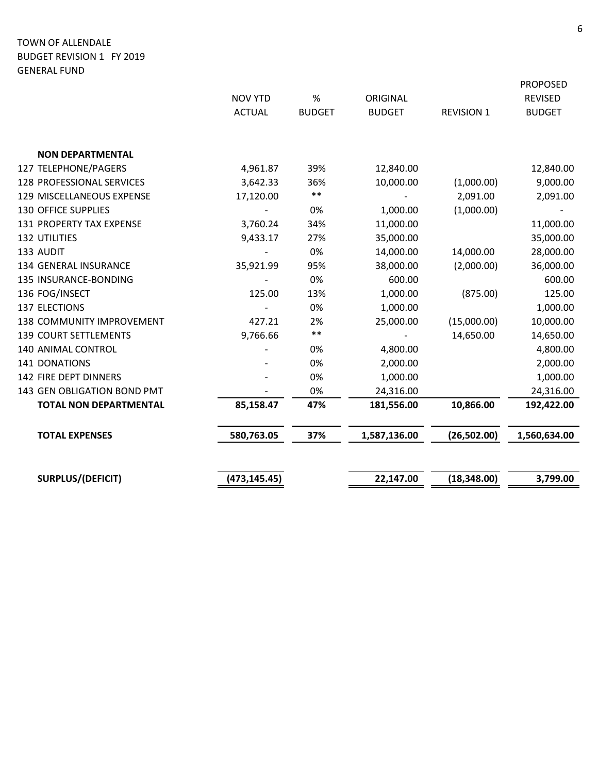|                               |                |               |               |                   | <b>PROPOSED</b> |
|-------------------------------|----------------|---------------|---------------|-------------------|-----------------|
|                               | <b>NOV YTD</b> | $\%$          | ORIGINAL      |                   | <b>REVISED</b>  |
|                               | <b>ACTUAL</b>  | <b>BUDGET</b> | <b>BUDGET</b> | <b>REVISION 1</b> | <b>BUDGET</b>   |
|                               |                |               |               |                   |                 |
| <b>NON DEPARTMENTAL</b>       |                |               |               |                   |                 |
| 127 TELEPHONE/PAGERS          | 4,961.87       | 39%           | 12,840.00     |                   | 12,840.00       |
| 128 PROFESSIONAL SERVICES     | 3,642.33       | 36%           | 10,000.00     | (1,000.00)        | 9,000.00        |
| 129 MISCELLANEOUS EXPENSE     | 17,120.00      | $***$         |               | 2,091.00          | 2,091.00        |
| <b>130 OFFICE SUPPLIES</b>    |                | 0%            | 1,000.00      | (1,000.00)        |                 |
| 131 PROPERTY TAX EXPENSE      | 3,760.24       | 34%           | 11,000.00     |                   | 11,000.00       |
|                               |                |               |               |                   |                 |
| <b>132 UTILITIES</b>          | 9,433.17       | 27%           | 35,000.00     |                   | 35,000.00       |
| 133 AUDIT                     |                | 0%            | 14,000.00     | 14,000.00         | 28,000.00       |
| 134 GENERAL INSURANCE         | 35,921.99      | 95%           | 38,000.00     | (2,000.00)        | 36,000.00       |
| 135 INSURANCE-BONDING         |                | 0%            | 600.00        |                   | 600.00          |
| 136 FOG/INSECT                | 125.00         | 13%           | 1,000.00      | (875.00)          | 125.00          |
| 137 ELECTIONS                 |                | 0%            | 1,000.00      |                   | 1,000.00        |
| 138 COMMUNITY IMPROVEMENT     | 427.21         | 2%            | 25,000.00     | (15,000.00)       | 10,000.00       |
| <b>139 COURT SETTLEMENTS</b>  | 9,766.66       | $***$         |               | 14,650.00         | 14,650.00       |
| 140 ANIMAL CONTROL            |                | 0%            | 4,800.00      |                   | 4,800.00        |
| 141 DONATIONS                 |                | 0%            | 2,000.00      |                   | 2,000.00        |
| 142 FIRE DEPT DINNERS         |                | 0%            | 1,000.00      |                   | 1,000.00        |
| 143 GEN OBLIGATION BOND PMT   |                | 0%            | 24,316.00     |                   | 24,316.00       |
| <b>TOTAL NON DEPARTMENTAL</b> | 85,158.47      | 47%           | 181,556.00    | 10,866.00         | 192,422.00      |
| <b>TOTAL EXPENSES</b>         | 580,763.05     | 37%           | 1,587,136.00  | (26,502.00)       | 1,560,634.00    |
|                               |                |               |               |                   |                 |
| <b>SURPLUS/(DEFICIT)</b>      | (473, 145.45)  |               | 22,147.00     | (18, 348.00)      | 3,799.00        |
|                               |                |               |               |                   |                 |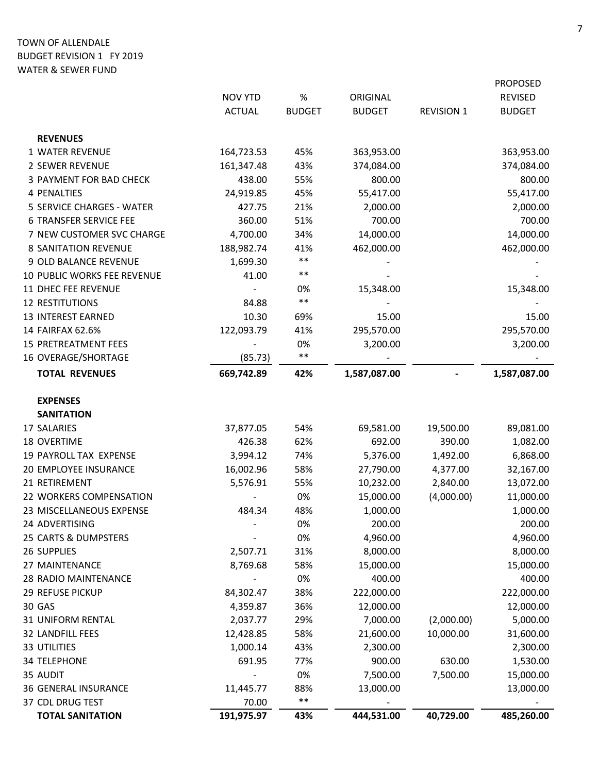#### TOWN OF ALLENDALE BUDGET REVISION 1 FY 2019 WATER & SEWER FUND

|                                             |                     |               |               |                   | <b>PROPOSED</b> |
|---------------------------------------------|---------------------|---------------|---------------|-------------------|-----------------|
|                                             | <b>NOV YTD</b>      | $\%$          | ORIGINAL      |                   | <b>REVISED</b>  |
|                                             | <b>ACTUAL</b>       | <b>BUDGET</b> | <b>BUDGET</b> | <b>REVISION 1</b> | <b>BUDGET</b>   |
| <b>REVENUES</b>                             |                     |               |               |                   |                 |
| 1 WATER REVENUE                             | 164,723.53          | 45%           | 363,953.00    |                   | 363,953.00      |
| <b>2 SEWER REVENUE</b>                      | 161,347.48          | 43%           | 374,084.00    |                   | 374,084.00      |
| 3 PAYMENT FOR BAD CHECK                     | 438.00              | 55%           | 800.00        |                   | 800.00          |
| 4 PENALTIES                                 | 24,919.85           | 45%           | 55,417.00     |                   | 55,417.00       |
| 5 SERVICE CHARGES - WATER                   | 427.75              | 21%           | 2,000.00      |                   | 2,000.00        |
| <b>6 TRANSFER SERVICE FEE</b>               | 360.00              | 51%           | 700.00        |                   | 700.00          |
| 7 NEW CUSTOMER SVC CHARGE                   | 4,700.00            | 34%           | 14,000.00     |                   | 14,000.00       |
| <b>8 SANITATION REVENUE</b>                 | 188,982.74          | 41%           | 462,000.00    |                   | 462,000.00      |
| 9 OLD BALANCE REVENUE                       | 1,699.30            | $***$         |               |                   |                 |
| 10 PUBLIC WORKS FEE REVENUE                 | 41.00               | $***$         |               |                   |                 |
| 11 DHEC FEE REVENUE                         |                     | 0%            | 15,348.00     |                   | 15,348.00       |
| <b>12 RESTITUTIONS</b>                      | 84.88               | $***$         |               |                   |                 |
| <b>13 INTEREST EARNED</b>                   | 10.30               | 69%           | 15.00         |                   | 15.00           |
| 14 FAIRFAX 62.6%                            | 122,093.79          | 41%           | 295,570.00    |                   | 295,570.00      |
| 15 PRETREATMENT FEES                        |                     | 0%            | 3,200.00      |                   | 3,200.00        |
| 16 OVERAGE/SHORTAGE                         | (85.73)             | $***$         |               |                   |                 |
| <b>TOTAL REVENUES</b>                       | 669,742.89          | 42%           | 1,587,087.00  |                   | 1,587,087.00    |
| <b>EXPENSES</b>                             |                     |               |               |                   |                 |
| <b>SANITATION</b>                           |                     |               |               |                   |                 |
| 17 SALARIES                                 | 37,877.05           | 54%           | 69,581.00     | 19,500.00         | 89,081.00       |
| 18 OVERTIME                                 | 426.38              | 62%           | 692.00        | 390.00            | 1,082.00        |
| 19 PAYROLL TAX EXPENSE                      | 3,994.12            | 74%           | 5,376.00      | 1,492.00          | 6,868.00        |
| 20 EMPLOYEE INSURANCE                       | 16,002.96           | 58%           | 27,790.00     | 4,377.00          | 32,167.00       |
| 21 RETIREMENT                               | 5,576.91            | 55%           | 10,232.00     | 2,840.00          | 13,072.00       |
| 22 WORKERS COMPENSATION                     |                     | 0%            | 15,000.00     | (4,000.00)        | 11,000.00       |
| 23 MISCELLANEOUS EXPENSE                    | 484.34              | 48%           | 1,000.00      |                   | 1,000.00        |
| 24 ADVERTISING                              |                     | 0%            | 200.00        |                   | 200.00          |
| 25 CARTS & DUMPSTERS                        |                     | 0%            | 4,960.00      |                   | 4,960.00        |
| 26 SUPPLIES                                 | 2,507.71            | 31%           | 8,000.00      |                   | 8,000.00        |
| 27 MAINTENANCE                              | 8,769.68            | 58%           | 15,000.00     |                   | 15,000.00       |
| 28 RADIO MAINTENANCE                        |                     | 0%            | 400.00        |                   | 400.00          |
| 29 REFUSE PICKUP                            | 84,302.47           | 38%           | 222,000.00    |                   | 222,000.00      |
| <b>30 GAS</b>                               | 4,359.87            | 36%           | 12,000.00     |                   | 12,000.00       |
| 31 UNIFORM RENTAL                           | 2,037.77            | 29%           | 7,000.00      | (2,000.00)        | 5,000.00        |
| 32 LANDFILL FEES                            |                     | 58%           |               | 10,000.00         |                 |
| <b>33 UTILITIES</b>                         | 12,428.85           | 43%           | 21,600.00     |                   | 31,600.00       |
|                                             | 1,000.14            |               | 2,300.00      |                   | 2,300.00        |
| <b>34 TELEPHONE</b>                         | 691.95              | 77%           | 900.00        | 630.00            | 1,530.00        |
| 35 AUDIT                                    |                     | 0%            | 7,500.00      | 7,500.00          | 15,000.00       |
| 36 GENERAL INSURANCE                        | 11,445.77           | 88%<br>$***$  | 13,000.00     |                   | 13,000.00       |
| 37 CDL DRUG TEST<br><b>TOTAL SANITATION</b> | 70.00<br>191,975.97 | 43%           | 444,531.00    | 40,729.00         | 485,260.00      |
|                                             |                     |               |               |                   |                 |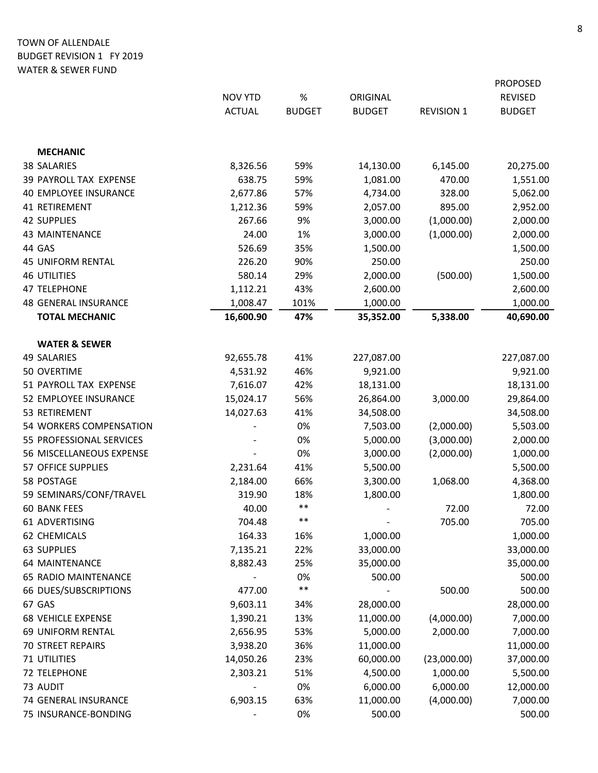#### TOWN OF ALLENDALE BUDGET REVISION 1 FY 2019 WATER & SEWER FUND

|                             |                          |               |               |                   | <b>PROPOSED</b> |
|-----------------------------|--------------------------|---------------|---------------|-------------------|-----------------|
|                             | <b>NOV YTD</b>           | $\%$          | ORIGINAL      |                   | <b>REVISED</b>  |
|                             | <b>ACTUAL</b>            | <b>BUDGET</b> | <b>BUDGET</b> | <b>REVISION 1</b> | <b>BUDGET</b>   |
|                             |                          |               |               |                   |                 |
| <b>MECHANIC</b>             |                          |               |               |                   |                 |
| 38 SALARIES                 | 8,326.56                 | 59%           | 14,130.00     | 6,145.00          | 20,275.00       |
| 39 PAYROLL TAX EXPENSE      | 638.75                   | 59%           | 1,081.00      | 470.00            | 1,551.00        |
| 40 EMPLOYEE INSURANCE       | 2,677.86                 | 57%           | 4,734.00      | 328.00            | 5,062.00        |
| 41 RETIREMENT               | 1,212.36                 | 59%           | 2,057.00      | 895.00            | 2,952.00        |
| <b>42 SUPPLIES</b>          | 267.66                   | 9%            | 3,000.00      | (1,000.00)        | 2,000.00        |
| <b>43 MAINTENANCE</b>       | 24.00                    | 1%            | 3,000.00      | (1,000.00)        | 2,000.00        |
| 44 GAS                      | 526.69                   | 35%           | 1,500.00      |                   | 1,500.00        |
| <b>45 UNIFORM RENTAL</b>    | 226.20                   | 90%           | 250.00        |                   | 250.00          |
| <b>46 UTILITIES</b>         | 580.14                   | 29%           | 2,000.00      | (500.00)          | 1,500.00        |
| <b>47 TELEPHONE</b>         | 1,112.21                 | 43%           | 2,600.00      |                   | 2,600.00        |
| <b>48 GENERAL INSURANCE</b> | 1,008.47                 | 101%          | 1,000.00      |                   | 1,000.00        |
| <b>TOTAL MECHANIC</b>       | 16,600.90                | 47%           | 35,352.00     | 5,338.00          | 40,690.00       |
| <b>WATER &amp; SEWER</b>    |                          |               |               |                   |                 |
| <b>49 SALARIES</b>          | 92,655.78                | 41%           | 227,087.00    |                   | 227,087.00      |
| 50 OVERTIME                 | 4,531.92                 | 46%           | 9,921.00      |                   | 9,921.00        |
| 51 PAYROLL TAX EXPENSE      | 7,616.07                 | 42%           | 18,131.00     |                   | 18,131.00       |
| 52 EMPLOYEE INSURANCE       | 15,024.17                | 56%           | 26,864.00     | 3,000.00          | 29,864.00       |
| 53 RETIREMENT               | 14,027.63                | 41%           | 34,508.00     |                   | 34,508.00       |
| 54 WORKERS COMPENSATION     |                          | 0%            | 7,503.00      | (2,000.00)        | 5,503.00        |
| 55 PROFESSIONAL SERVICES    |                          | 0%            | 5,000.00      | (3,000.00)        | 2,000.00        |
| 56 MISCELLANEOUS EXPENSE    | $\overline{\phantom{a}}$ | 0%            | 3,000.00      | (2,000.00)        | 1,000.00        |
| 57 OFFICE SUPPLIES          | 2,231.64                 | 41%           | 5,500.00      |                   | 5,500.00        |
| 58 POSTAGE                  | 2,184.00                 | 66%           | 3,300.00      | 1,068.00          | 4,368.00        |
| 59 SEMINARS/CONF/TRAVEL     | 319.90                   | 18%           | 1,800.00      |                   | 1,800.00        |
| <b>60 BANK FEES</b>         | 40.00                    | $***$         | ÷             | 72.00             | 72.00           |
| 61 ADVERTISING              | 704.48                   | $***$         |               | 705.00            | 705.00          |
| 62 CHEMICALS                | 164.33                   | 16%           | 1,000.00      |                   | 1,000.00        |
| 63 SUPPLIES                 | 7,135.21                 | 22%           | 33,000.00     |                   | 33,000.00       |
| <b>64 MAINTENANCE</b>       | 8,882.43                 | 25%           | 35,000.00     |                   | 35,000.00       |
| 65 RADIO MAINTENANCE        |                          | 0%            | 500.00        |                   | 500.00          |
| 66 DUES/SUBSCRIPTIONS       | 477.00                   | $***$         |               | 500.00            | 500.00          |
| 67 GAS                      | 9,603.11                 | 34%           | 28,000.00     |                   | 28,000.00       |
| <b>68 VEHICLE EXPENSE</b>   | 1,390.21                 | 13%           | 11,000.00     | (4,000.00)        | 7,000.00        |
| 69 UNIFORM RENTAL           | 2,656.95                 | 53%           | 5,000.00      | 2,000.00          | 7,000.00        |
| 70 STREET REPAIRS           | 3,938.20                 | 36%           | 11,000.00     |                   | 11,000.00       |
| <b>71 UTILITIES</b>         | 14,050.26                | 23%           | 60,000.00     | (23,000.00)       | 37,000.00       |
| 72 TELEPHONE                | 2,303.21                 | 51%           | 4,500.00      | 1,000.00          | 5,500.00        |
| 73 AUDIT                    |                          | 0%            | 6,000.00      | 6,000.00          | 12,000.00       |
| 74 GENERAL INSURANCE        | 6,903.15                 | 63%           | 11,000.00     | (4,000.00)        | 7,000.00        |
| 75 INSURANCE-BONDING        |                          | 0%            | 500.00        |                   | 500.00          |